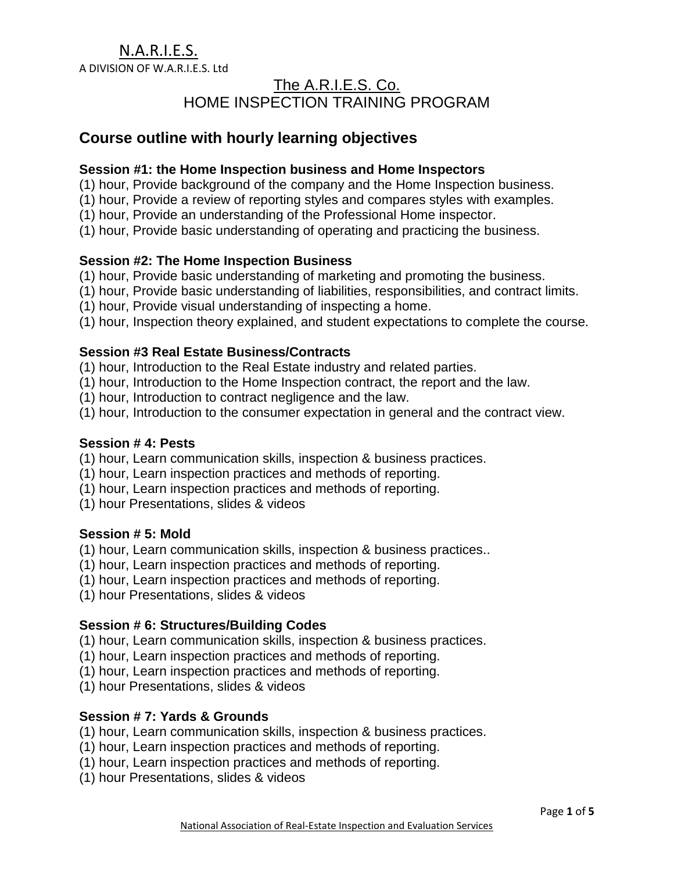A DIVISION OF W.A.R.I.E.S. Ltd

# The A.R.I.E.S. Co. HOME INSPECTION TRAINING PROGRAM

# **Course outline with hourly learning objectives**

#### **Session #1: the Home Inspection business and Home Inspectors**

- (1) hour, Provide background of the company and the Home Inspection business.
- (1) hour, Provide a review of reporting styles and compares styles with examples.
- (1) hour, Provide an understanding of the Professional Home inspector.
- (1) hour, Provide basic understanding of operating and practicing the business.

# **Session #2: The Home Inspection Business**

- (1) hour, Provide basic understanding of marketing and promoting the business.
- (1) hour, Provide basic understanding of liabilities, responsibilities, and contract limits.
- (1) hour, Provide visual understanding of inspecting a home.
- (1) hour, Inspection theory explained, and student expectations to complete the course.

#### **Session #3 Real Estate Business/Contracts**

- (1) hour, Introduction to the Real Estate industry and related parties.
- (1) hour, Introduction to the Home Inspection contract, the report and the law.
- (1) hour, Introduction to contract negligence and the law.
- (1) hour, Introduction to the consumer expectation in general and the contract view.

#### **Session # 4: Pests**

- (1) hour, Learn communication skills, inspection & business practices.
- (1) hour, Learn inspection practices and methods of reporting.
- (1) hour, Learn inspection practices and methods of reporting.
- (1) hour Presentations, slides & videos

# **Session # 5: Mold**

- (1) hour, Learn communication skills, inspection & business practices..
- (1) hour, Learn inspection practices and methods of reporting.
- (1) hour, Learn inspection practices and methods of reporting.
- (1) hour Presentations, slides & videos

# **Session # 6: Structures/Building Codes**

- (1) hour, Learn communication skills, inspection & business practices.
- (1) hour, Learn inspection practices and methods of reporting.
- (1) hour, Learn inspection practices and methods of reporting.
- (1) hour Presentations, slides & videos

# **Session # 7: Yards & Grounds**

- (1) hour, Learn communication skills, inspection & business practices.
- (1) hour, Learn inspection practices and methods of reporting.
- (1) hour, Learn inspection practices and methods of reporting.
- (1) hour Presentations, slides & videos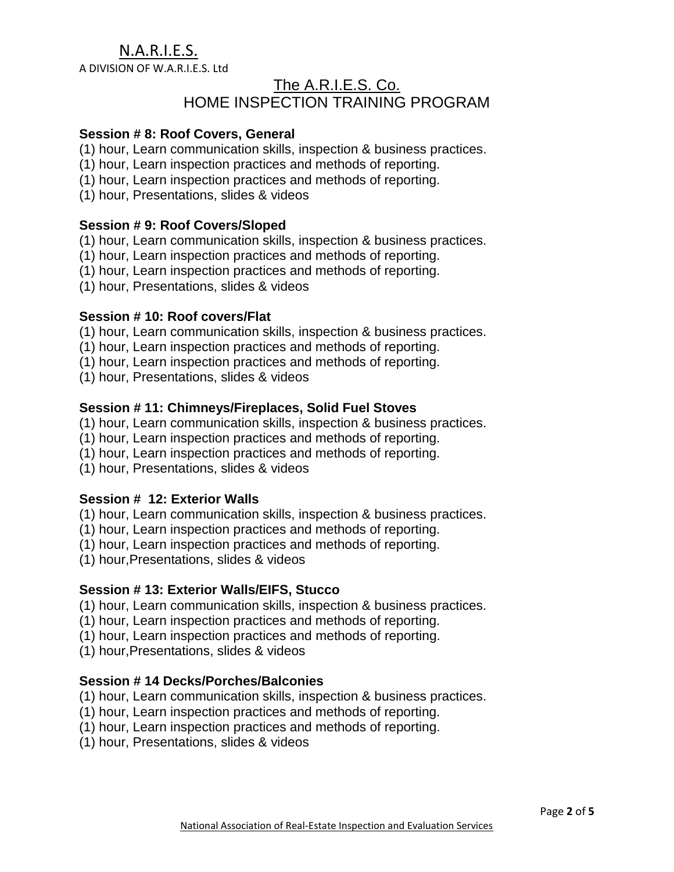A DIVISION OF W.A.R.I.E.S. Ltd

# The A.R.I.E.S. Co. HOME INSPECTION TRAINING PROGRAM

# **Session # 8: Roof Covers, General**

- (1) hour, Learn communication skills, inspection & business practices.
- (1) hour, Learn inspection practices and methods of reporting.
- (1) hour, Learn inspection practices and methods of reporting.
- (1) hour, Presentations, slides & videos

# **Session # 9: Roof Covers/Sloped**

- (1) hour, Learn communication skills, inspection & business practices.
- (1) hour, Learn inspection practices and methods of reporting.
- (1) hour, Learn inspection practices and methods of reporting.
- (1) hour, Presentations, slides & videos

#### **Session # 10: Roof covers/Flat**

- (1) hour, Learn communication skills, inspection & business practices.
- (1) hour, Learn inspection practices and methods of reporting.
- (1) hour, Learn inspection practices and methods of reporting.
- (1) hour, Presentations, slides & videos

# **Session # 11: Chimneys/Fireplaces, Solid Fuel Stoves**

- (1) hour, Learn communication skills, inspection & business practices.
- (1) hour, Learn inspection practices and methods of reporting.
- (1) hour, Learn inspection practices and methods of reporting.
- (1) hour, Presentations, slides & videos

# **Session # 12: Exterior Walls**

- (1) hour, Learn communication skills, inspection & business practices.
- (1) hour, Learn inspection practices and methods of reporting.
- (1) hour, Learn inspection practices and methods of reporting.
- (1) hour,Presentations, slides & videos

# **Session # 13: Exterior Walls/EIFS, Stucco**

- (1) hour, Learn communication skills, inspection & business practices.
- (1) hour, Learn inspection practices and methods of reporting.
- (1) hour, Learn inspection practices and methods of reporting.
- (1) hour,Presentations, slides & videos

# **Session # 14 Decks/Porches/Balconies**

- (1) hour, Learn communication skills, inspection & business practices.
- (1) hour, Learn inspection practices and methods of reporting.
- (1) hour, Learn inspection practices and methods of reporting.
- (1) hour, Presentations, slides & videos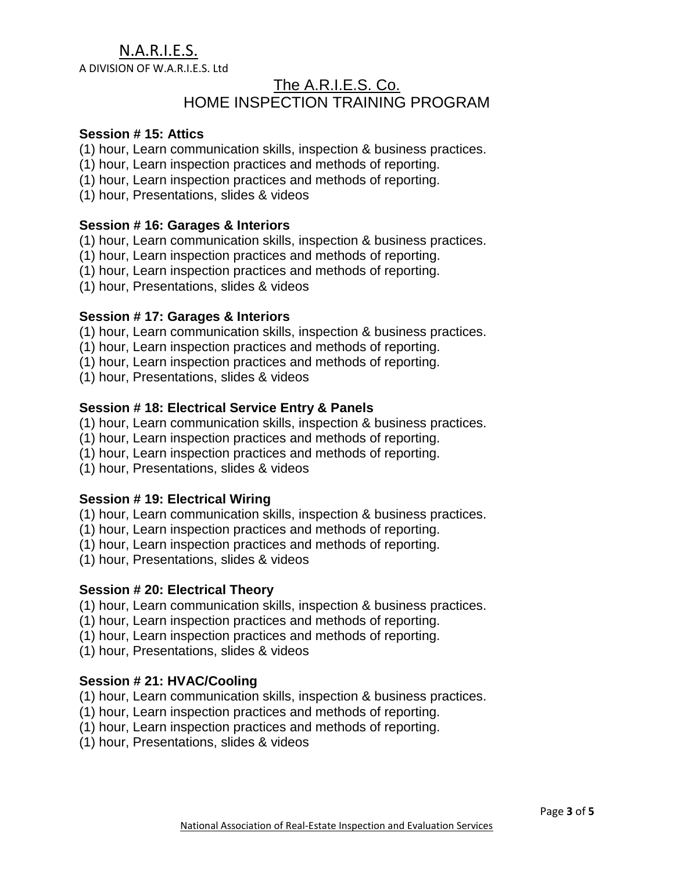A DIVISION OF W.A.R.I.E.S. Ltd

# The A.R.I.E.S. Co. HOME INSPECTION TRAINING PROGRAM

# **Session # 15: Attics**

- (1) hour, Learn communication skills, inspection & business practices.
- (1) hour, Learn inspection practices and methods of reporting.
- (1) hour, Learn inspection practices and methods of reporting.
- (1) hour, Presentations, slides & videos

### **Session # 16: Garages & Interiors**

- (1) hour, Learn communication skills, inspection & business practices.
- (1) hour, Learn inspection practices and methods of reporting.
- (1) hour, Learn inspection practices and methods of reporting.
- (1) hour, Presentations, slides & videos

#### **Session # 17: Garages & Interiors**

- (1) hour, Learn communication skills, inspection & business practices.
- (1) hour, Learn inspection practices and methods of reporting.
- (1) hour, Learn inspection practices and methods of reporting.
- (1) hour, Presentations, slides & videos

# **Session # 18: Electrical Service Entry & Panels**

- (1) hour, Learn communication skills, inspection & business practices.
- (1) hour, Learn inspection practices and methods of reporting.
- (1) hour, Learn inspection practices and methods of reporting.
- (1) hour, Presentations, slides & videos

# **Session # 19: Electrical Wiring**

- (1) hour, Learn communication skills, inspection & business practices.
- (1) hour, Learn inspection practices and methods of reporting.
- (1) hour, Learn inspection practices and methods of reporting.
- (1) hour, Presentations, slides & videos

#### **Session # 20: Electrical Theory**

- (1) hour, Learn communication skills, inspection & business practices.
- (1) hour, Learn inspection practices and methods of reporting.
- (1) hour, Learn inspection practices and methods of reporting.
- (1) hour, Presentations, slides & videos

# **Session # 21: HVAC/Cooling**

- (1) hour, Learn communication skills, inspection & business practices.
- (1) hour, Learn inspection practices and methods of reporting.
- (1) hour, Learn inspection practices and methods of reporting.
- (1) hour, Presentations, slides & videos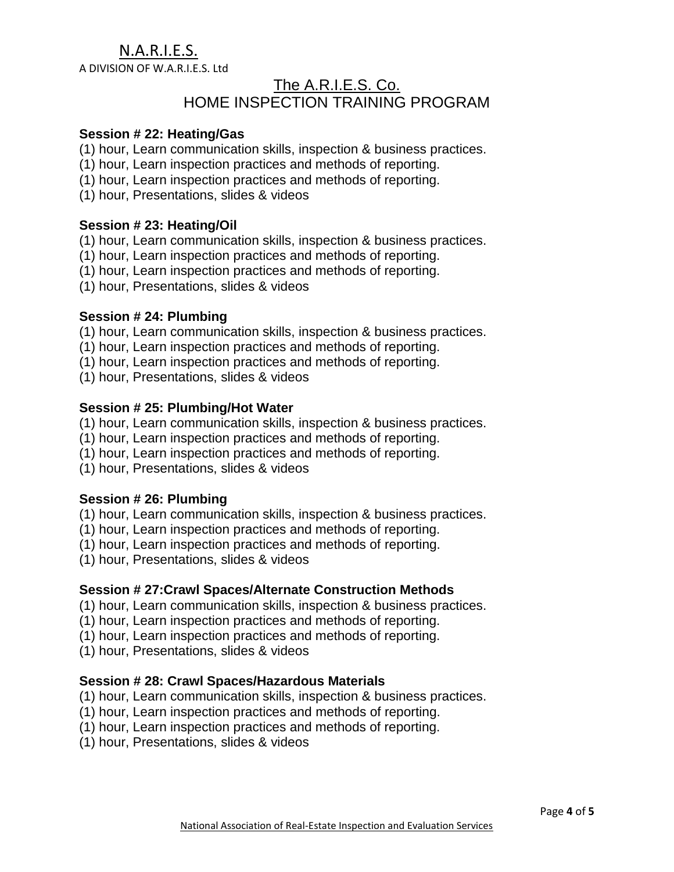A DIVISION OF W.A.R.I.E.S. Ltd

# The A.R.I.E.S. Co. HOME INSPECTION TRAINING PROGRAM

### **Session # 22: Heating/Gas**

- (1) hour, Learn communication skills, inspection & business practices.
- (1) hour, Learn inspection practices and methods of reporting.
- (1) hour, Learn inspection practices and methods of reporting.
- (1) hour, Presentations, slides & videos

#### **Session # 23: Heating/Oil**

- (1) hour, Learn communication skills, inspection & business practices.
- (1) hour, Learn inspection practices and methods of reporting.
- (1) hour, Learn inspection practices and methods of reporting.
- (1) hour, Presentations, slides & videos

### **Session # 24: Plumbing**

- (1) hour, Learn communication skills, inspection & business practices.
- (1) hour, Learn inspection practices and methods of reporting.
- (1) hour, Learn inspection practices and methods of reporting.
- (1) hour, Presentations, slides & videos

#### **Session # 25: Plumbing/Hot Water**

- (1) hour, Learn communication skills, inspection & business practices.
- (1) hour, Learn inspection practices and methods of reporting.
- (1) hour, Learn inspection practices and methods of reporting.
- (1) hour, Presentations, slides & videos

# **Session # 26: Plumbing**

- (1) hour, Learn communication skills, inspection & business practices.
- (1) hour, Learn inspection practices and methods of reporting.
- (1) hour, Learn inspection practices and methods of reporting.
- (1) hour, Presentations, slides & videos

# **Session # 27:Crawl Spaces/Alternate Construction Methods**

- (1) hour, Learn communication skills, inspection & business practices.
- (1) hour, Learn inspection practices and methods of reporting.
- (1) hour, Learn inspection practices and methods of reporting.
- (1) hour, Presentations, slides & videos

# **Session # 28: Crawl Spaces/Hazardous Materials**

- (1) hour, Learn communication skills, inspection & business practices.
- (1) hour, Learn inspection practices and methods of reporting.
- (1) hour, Learn inspection practices and methods of reporting.
- (1) hour, Presentations, slides & videos